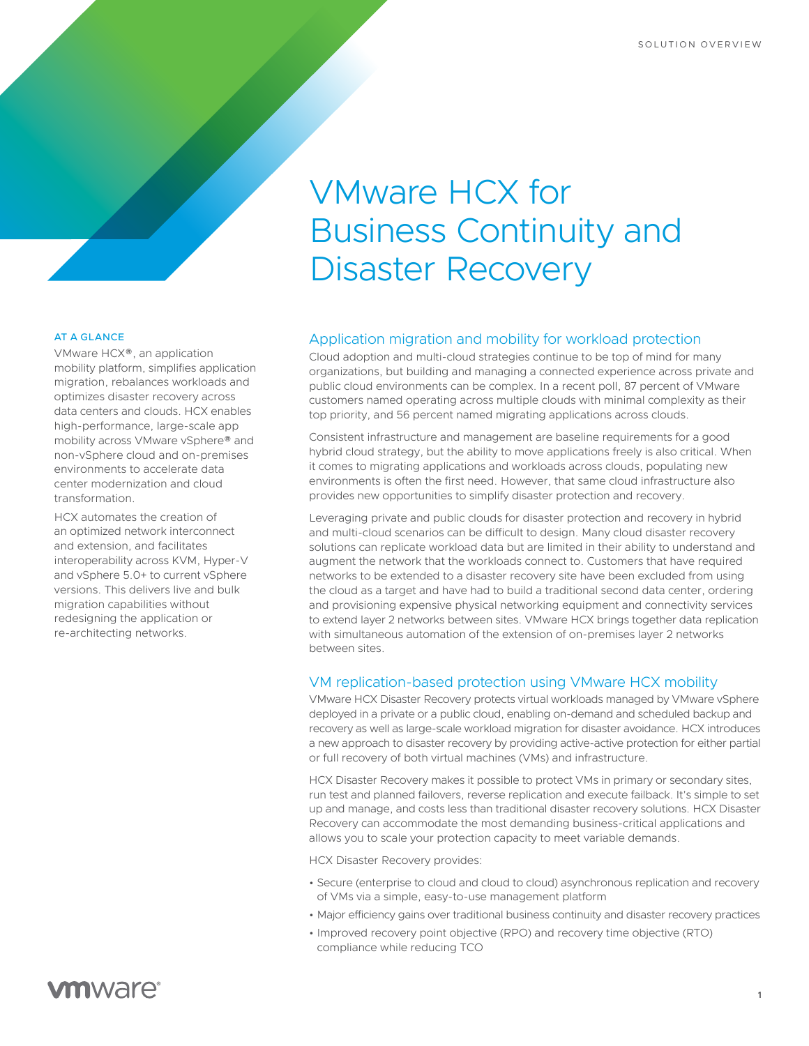# VMware HCX for Business Continuity and Disaster Recovery

# Application migration and mobility for workload protection

Cloud adoption and multi-cloud strategies continue to be top of mind for many organizations, but building and managing a connected experience across private and public cloud environments can be complex. In a recent poll, 87 percent of VMware customers named operating across multiple clouds with minimal complexity as their top priority, and 56 percent named migrating applications across clouds.

Consistent infrastructure and management are baseline requirements for a good hybrid cloud strategy, but the ability to move applications freely is also critical. When it comes to migrating applications and workloads across clouds, populating new environments is often the first need. However, that same cloud infrastructure also provides new opportunities to simplify disaster protection and recovery.

Leveraging private and public clouds for disaster protection and recovery in hybrid and multi-cloud scenarios can be difficult to design. Many cloud disaster recovery solutions can replicate workload data but are limited in their ability to understand and augment the network that the workloads connect to. Customers that have required networks to be extended to a disaster recovery site have been excluded from using the cloud as a target and have had to build a traditional second data center, ordering and provisioning expensive physical networking equipment and connectivity services to extend layer 2 networks between sites. VMware HCX brings together data replication with simultaneous automation of the extension of on-premises layer 2 networks between sites.

## VM replication-based protection using VMware HCX mobility

VMware HCX Disaster Recovery protects virtual workloads managed by VMware vSphere deployed in a private or a public cloud, enabling on-demand and scheduled backup and recovery as well as large-scale workload migration for disaster avoidance. HCX introduces a new approach to disaster recovery by providing active-active protection for either partial or full recovery of both virtual machines (VMs) and infrastructure.

HCX Disaster Recovery makes it possible to protect VMs in primary or secondary sites, run test and planned failovers, reverse replication and execute failback. It's simple to set up and manage, and costs less than traditional disaster recovery solutions. HCX Disaster Recovery can accommodate the most demanding business-critical applications and allows you to scale your protection capacity to meet variable demands.

HCX Disaster Recovery provides:

- Secure (enterprise to cloud and cloud to cloud) asynchronous replication and recovery of VMs via a simple, easy-to-use management platform
- Major efficiency gains over traditional business continuity and disaster recovery practices
- Improved recovery point objective (RPO) and recovery time objective (RTO) compliance while reducing TCO

### AT A GLANCE

VMware HCX®, an application mobility platform, simplifies application migration, rebalances workloads and optimizes disaster recovery across data centers and clouds. HCX enables high-performance, large-scale app mobility across VMware vSphere® and non-vSphere cloud and on-premises environments to accelerate data center modernization and cloud transformation.

HCX automates the creation of an optimized network interconnect and extension, and facilitates interoperability across KVM, Hyper-V and vSphere 5.0+ to current vSphere versions. This delivers live and bulk migration capabilities without redesigning the application or re-architecting networks.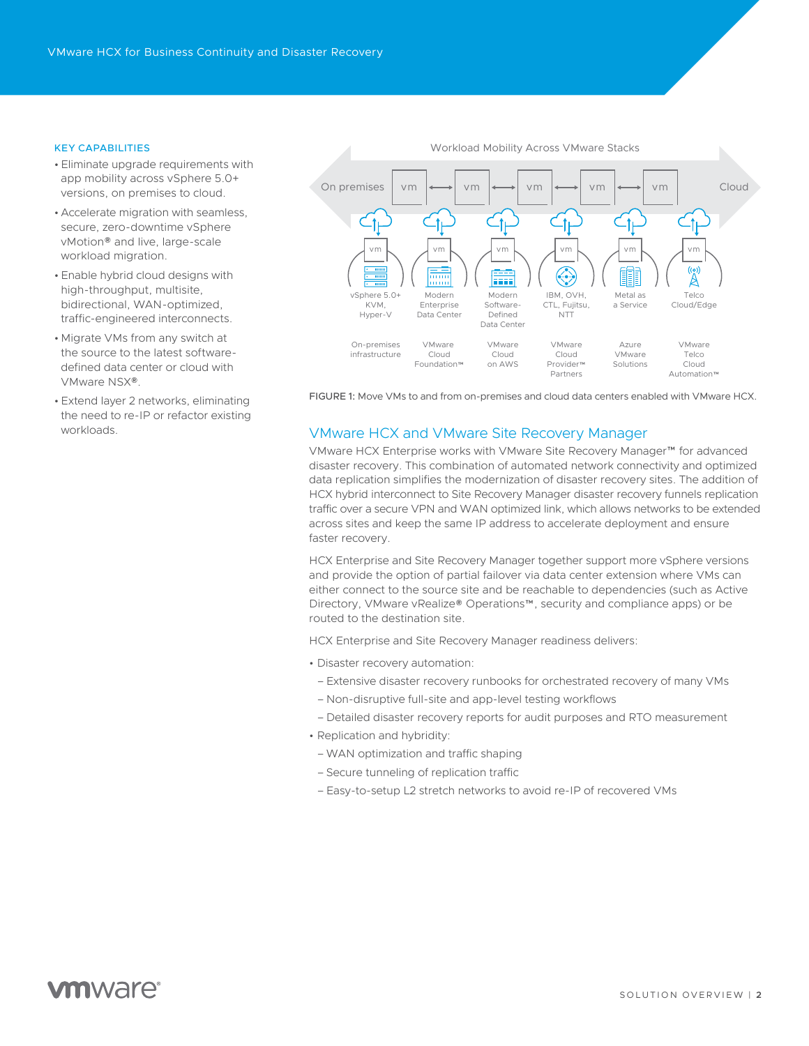#### KEY CAPABILITIES

- Eliminate upgrade requirements with app mobility across vSphere 5.0+ versions, on premises to cloud.
- Accelerate migration with seamless, secure, zero-downtime vSphere vMotion® and live, large-scale workload migration.
- Enable hybrid cloud designs with high-throughput, multisite, bidirectional, WAN-optimized, traffic-engineered interconnects.
- Migrate VMs from any switch at the source to the latest softwaredefined data center or cloud with VMware NSX®.
- Extend layer 2 networks, eliminating the need to re-IP or refactor existing workloads.



FIGURE 1: Move VMs to and from on-premises and cloud data centers enabled with VMware HCX.

### VMware HCX and VMware Site Recovery Manager

VMware HCX Enterprise works with VMware Site Recovery Manager™ for advanced disaster recovery. This combination of automated network connectivity and optimized data replication simplifies the modernization of disaster recovery sites. The addition of HCX hybrid interconnect to Site Recovery Manager disaster recovery funnels replication traffic over a secure VPN and WAN optimized link, which allows networks to be extended across sites and keep the same IP address to accelerate deployment and ensure faster recovery.

HCX Enterprise and Site Recovery Manager together support more vSphere versions and provide the option of partial failover via data center extension where VMs can either connect to the source site and be reachable to dependencies (such as Active Directory, VMware vRealize® Operations™, security and compliance apps) or be routed to the destination site.

HCX Enterprise and Site Recovery Manager readiness delivers:

- Disaster recovery automation:
- Extensive disaster recovery runbooks for orchestrated recovery of many VMs
- Non-disruptive full-site and app-level testing workflows
- Detailed disaster recovery reports for audit purposes and RTO measurement
- Replication and hybridity:
	- WAN optimization and traffic shaping
	- Secure tunneling of replication traffic
	- Easy-to-setup L2 stretch networks to avoid re-IP of recovered VMs